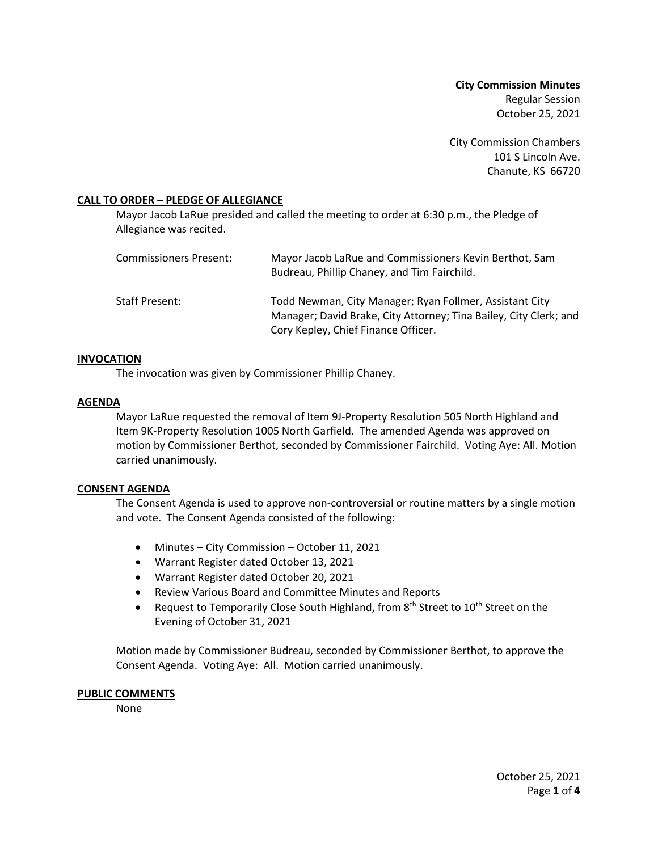**City Commission Minutes** Regular Session October 25, 2021

City Commission Chambers 101 S Lincoln Ave. Chanute, KS 66720

# **CALL TO ORDER – PLEDGE OF ALLEGIANCE**

Mayor Jacob LaRue presided and called the meeting to order at 6:30 p.m., the Pledge of Allegiance was recited.

| Commissioners Present: | Mayor Jacob LaRue and Commissioners Kevin Berthot, Sam<br>Budreau, Phillip Chaney, and Tim Fairchild.                                                               |
|------------------------|---------------------------------------------------------------------------------------------------------------------------------------------------------------------|
| Staff Present:         | Todd Newman, City Manager; Ryan Follmer, Assistant City<br>Manager; David Brake, City Attorney; Tina Bailey, City Clerk; and<br>Cory Kepley, Chief Finance Officer. |

### **INVOCATION**

The invocation was given by Commissioner Phillip Chaney.

# **AGENDA**

Mayor LaRue requested the removal of Item 9J-Property Resolution 505 North Highland and Item 9K-Property Resolution 1005 North Garfield. The amended Agenda was approved on motion by Commissioner Berthot, seconded by Commissioner Fairchild. Voting Aye: All. Motion carried unanimously.

### **CONSENT AGENDA**

The Consent Agenda is used to approve non-controversial or routine matters by a single motion and vote. The Consent Agenda consisted of the following:

- Minutes City Commission October 11, 2021
- Warrant Register dated October 13, 2021
- Warrant Register dated October 20, 2021
- Review Various Board and Committee Minutes and Reports
- Request to Temporarily Close South Highland, from  $8<sup>th</sup>$  Street to 10<sup>th</sup> Street on the Evening of October 31, 2021

Motion made by Commissioner Budreau, seconded by Commissioner Berthot, to approve the Consent Agenda. Voting Aye: All. Motion carried unanimously.

### **PUBLIC COMMENTS**

None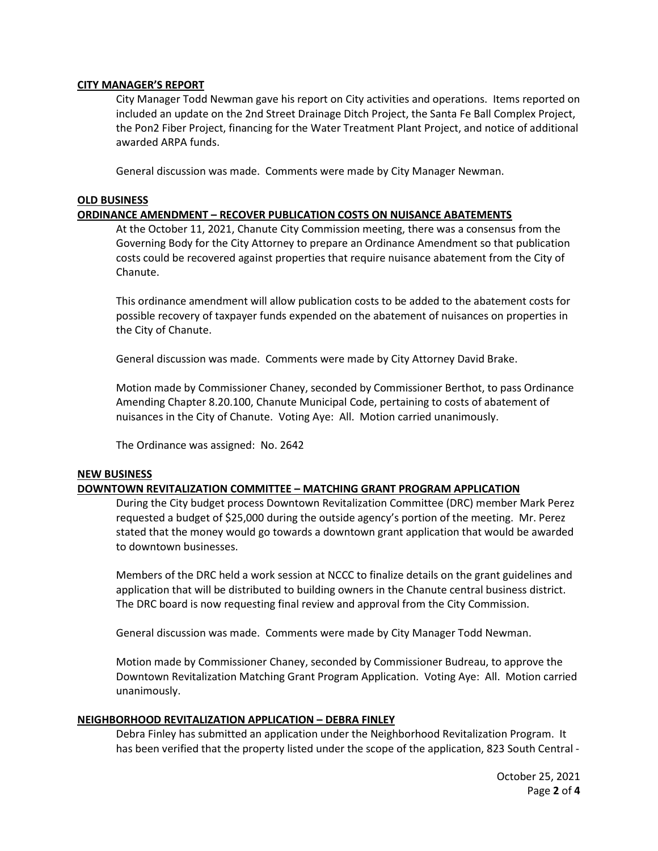# **CITY MANAGER'S REPORT**

City Manager Todd Newman gave his report on City activities and operations. Items reported on included an update on the 2nd Street Drainage Ditch Project, the Santa Fe Ball Complex Project, the Pon2 Fiber Project, financing for the Water Treatment Plant Project, and notice of additional awarded ARPA funds.

General discussion was made. Comments were made by City Manager Newman.

## **OLD BUSINESS**

# **ORDINANCE AMENDMENT – RECOVER PUBLICATION COSTS ON NUISANCE ABATEMENTS**

At the October 11, 2021, Chanute City Commission meeting, there was a consensus from the Governing Body for the City Attorney to prepare an Ordinance Amendment so that publication costs could be recovered against properties that require nuisance abatement from the City of Chanute.

This ordinance amendment will allow publication costs to be added to the abatement costs for possible recovery of taxpayer funds expended on the abatement of nuisances on properties in the City of Chanute.

General discussion was made. Comments were made by City Attorney David Brake.

Motion made by Commissioner Chaney, seconded by Commissioner Berthot, to pass Ordinance Amending Chapter 8.20.100, Chanute Municipal Code, pertaining to costs of abatement of nuisances in the City of Chanute. Voting Aye: All. Motion carried unanimously.

The Ordinance was assigned: No. 2642

### **NEW BUSINESS**

# **DOWNTOWN REVITALIZATION COMMITTEE – MATCHING GRANT PROGRAM APPLICATION**

During the City budget process Downtown Revitalization Committee (DRC) member Mark Perez requested a budget of \$25,000 during the outside agency's portion of the meeting. Mr. Perez stated that the money would go towards a downtown grant application that would be awarded to downtown businesses.

Members of the DRC held a work session at NCCC to finalize details on the grant guidelines and application that will be distributed to building owners in the Chanute central business district. The DRC board is now requesting final review and approval from the City Commission.

General discussion was made. Comments were made by City Manager Todd Newman.

Motion made by Commissioner Chaney, seconded by Commissioner Budreau, to approve the Downtown Revitalization Matching Grant Program Application. Voting Aye: All. Motion carried unanimously.

### **NEIGHBORHOOD REVITALIZATION APPLICATION – DEBRA FINLEY**

Debra Finley has submitted an application under the Neighborhood Revitalization Program. It has been verified that the property listed under the scope of the application, 823 South Central -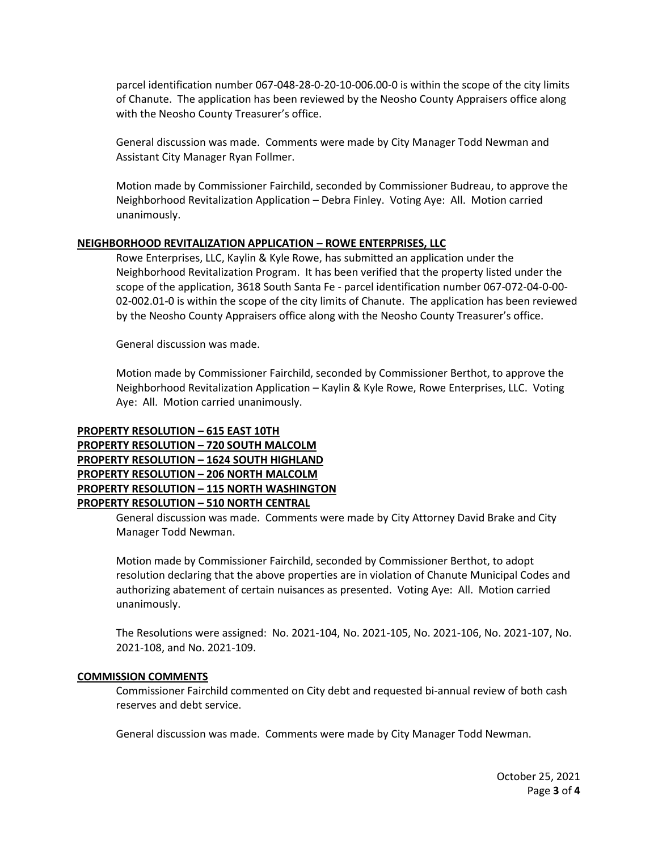parcel identification number 067-048-28-0-20-10-006.00-0 is within the scope of the city limits of Chanute. The application has been reviewed by the Neosho County Appraisers office along with the Neosho County Treasurer's office.

General discussion was made. Comments were made by City Manager Todd Newman and Assistant City Manager Ryan Follmer.

Motion made by Commissioner Fairchild, seconded by Commissioner Budreau, to approve the Neighborhood Revitalization Application – Debra Finley. Voting Aye: All. Motion carried unanimously.

# **NEIGHBORHOOD REVITALIZATION APPLICATION – ROWE ENTERPRISES, LLC**

Rowe Enterprises, LLC, Kaylin & Kyle Rowe, has submitted an application under the Neighborhood Revitalization Program. It has been verified that the property listed under the scope of the application, 3618 South Santa Fe - parcel identification number 067-072-04-0-00- 02-002.01-0 is within the scope of the city limits of Chanute. The application has been reviewed by the Neosho County Appraisers office along with the Neosho County Treasurer's office.

General discussion was made.

Motion made by Commissioner Fairchild, seconded by Commissioner Berthot, to approve the Neighborhood Revitalization Application – Kaylin & Kyle Rowe, Rowe Enterprises, LLC. Voting Aye: All. Motion carried unanimously.

# **PROPERTY RESOLUTION – 615 EAST 10TH PROPERTY RESOLUTION – 720 SOUTH MALCOLM PROPERTY RESOLUTION – 1624 SOUTH HIGHLAND PROPERTY RESOLUTION – 206 NORTH MALCOLM PROPERTY RESOLUTION – 115 NORTH WASHINGTON PROPERTY RESOLUTION – 510 NORTH CENTRAL**

General discussion was made. Comments were made by City Attorney David Brake and City Manager Todd Newman.

Motion made by Commissioner Fairchild, seconded by Commissioner Berthot, to adopt resolution declaring that the above properties are in violation of Chanute Municipal Codes and authorizing abatement of certain nuisances as presented. Voting Aye: All. Motion carried unanimously.

The Resolutions were assigned: No. 2021-104, No. 2021-105, No. 2021-106, No. 2021-107, No. 2021-108, and No. 2021-109.

#### **COMMISSION COMMENTS**

Commissioner Fairchild commented on City debt and requested bi-annual review of both cash reserves and debt service.

General discussion was made. Comments were made by City Manager Todd Newman.